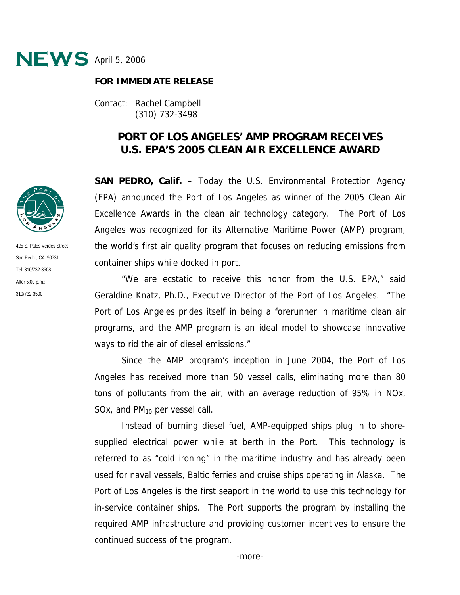

## **FOR IMMEDIATE RELEASE**

Contact: Rachel Campbell (310) 732-3498

## **PORT OF LOS ANGELES' AMP PROGRAM RECEIVES U.S. EPA'S 2005 CLEAN AIR EXCELLENCE AWARD**

**SAN PEDRO, Calif. –** Today the U.S. Environmental Protection Agency (EPA) announced the Port of Los Angeles as winner of the 2005 Clean Air Excellence Awards in the clean air technology category. The Port of Los Angeles was recognized for its Alternative Maritime Power (AMP) program, the world's first air quality program that focuses on reducing emissions from container ships while docked in port.

"We are ecstatic to receive this honor from the U.S. EPA," said Geraldine Knatz, Ph.D., Executive Director of the Port of Los Angeles. "The Port of Los Angeles prides itself in being a forerunner in maritime clean air programs, and the AMP program is an ideal model to showcase innovative ways to rid the air of diesel emissions."

Since the AMP program's inception in June 2004, the Port of Los Angeles has received more than 50 vessel calls, eliminating more than 80 tons of pollutants from the air, with an average reduction of 95% in NOx, SOx, and  $PM_{10}$  per vessel call.

 Instead of burning diesel fuel, AMP-equipped ships plug in to shoresupplied electrical power while at berth in the Port. This technology is referred to as "cold ironing" in the maritime industry and has already been used for naval vessels, Baltic ferries and cruise ships operating in Alaska. The Port of Los Angeles is the first seaport in the world to use this technology for in-service container ships. The Port supports the program by installing the required AMP infrastructure and providing customer incentives to ensure the continued success of the program.



425 S. Palos Verdes Street San Pedro, CA 90731 Tel: 310/732-3508 After 5:00 p.m.: 310/732-3500